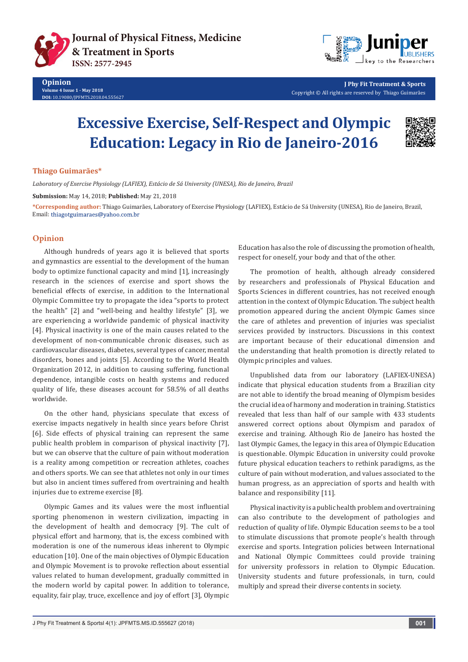



**J Phy Fit Treatment & Sports** Copyright © All rights are reserved by Thiago Guimarães

# **Excessive Exercise, Self-Respect and Olympic Education: Legacy in Rio de Janeiro-2016**



## **Thiago Guimarães\***

*Laboratory of Exercise Physiology (LAFIEX), Estácio de Sá University (UNESA), Rio de Janeiro, Brazil*

**Submission:** May 14, 2018; **Published:** May 21, 2018

**\*Corresponding author:** Thiago Guimarães, Laboratory of Exercise Physiology (LAFIEX), Estácio de Sá University (UNESA), Rio de Janeiro, Brazil, Email: thiagotguimaraes@yahoo.com.br

# **Opinion**

Although hundreds of years ago it is believed that sports and gymnastics are essential to the development of the human body to optimize functional capacity and mind [1], increasingly research in the sciences of exercise and sport shows the beneficial effects of exercise, in addition to the International Olympic Committee try to propagate the idea "sports to protect the health" [2] and "well-being and healthy lifestyle" [3], we are experiencing a worldwide pandemic of physical inactivity [4]. Physical inactivity is one of the main causes related to the development of non-communicable chronic diseases, such as cardiovascular diseases, diabetes, several types of cancer, mental disorders, bones and joints [5]. According to the World Health Organization 2012, in addition to causing suffering, functional dependence, intangible costs on health systems and reduced quality of life, these diseases account for 58.5% of all deaths worldwide.

On the other hand, physicians speculate that excess of exercise impacts negatively in health since years before Christ [6]. Side effects of physical training can represent the same public health problem in comparison of physical inactivity [7], but we can observe that the culture of pain without moderation is a reality among competition or recreation athletes, coaches and others sports. We can see that athletes not only in our times but also in ancient times suffered from overtraining and health injuries due to extreme exercise [8].

Olympic Games and its values were the most influential sporting phenomenon in western civilization, impacting in the development of health and democracy [9]. The cult of physical effort and harmony, that is, the excess combined with moderation is one of the numerous ideas inherent to Olympic education [10]. One of the main objectives of Olympic Education and Olympic Movement is to provoke reflection about essential values related to human development, gradually committed in the modern world by capital power. In addition to tolerance, equality, fair play, truce, excellence and joy of effort [3], Olympic

Education has also the role of discussing the promotion of health, respect for oneself, your body and that of the other.

The promotion of health, although already considered by researchers and professionals of Physical Education and Sports Sciences in different countries, has not received enough attention in the context of Olympic Education. The subject health promotion appeared during the ancient Olympic Games since the care of athletes and prevention of injuries was specialist services provided by instructors. Discussions in this context are important because of their educational dimension and the understanding that health promotion is directly related to Olympic principles and values.

Unpublished data from our laboratory (LAFIEX-UNESA) indicate that physical education students from a Brazilian city are not able to identify the broad meaning of Olympism besides the crucial idea of harmony and moderation in training. Statistics revealed that less than half of our sample with 433 students answered correct options about Olympism and paradox of exercise and training. Although Rio de Janeiro has hosted the last Olympic Games, the legacy in this area of Olympic Education is questionable. Olympic Education in university could provoke future physical education teachers to rethink paradigms, as the culture of pain without moderation, and values associated to the human progress, as an appreciation of sports and health with balance and responsibility [11].

Physical inactivity is a public health problem and overtraining can also contribute to the development of pathologies and reduction of quality of life. Olympic Education seems to be a tool to stimulate discussions that promote people's health through exercise and sports. Integration policies between International and National Olympic Committees could provide training for university professors in relation to Olympic Education. University students and future professionals, in turn, could multiply and spread their diverse contents in society.